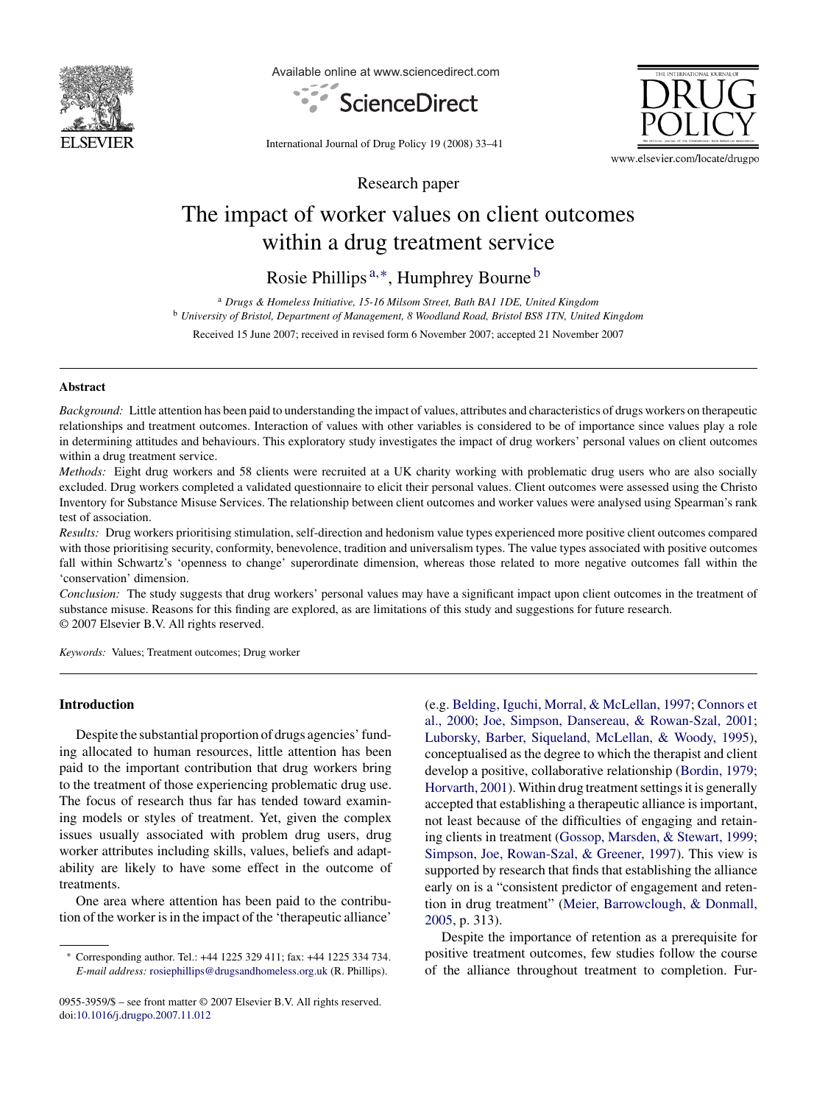

Available online at www.sciencedirect.com





International Journal of Drug Policy 19 (2008) 33–41

www.elsevier.com/locate/drugpc

# Research paper

# The impact of worker values on client outcomes within a drug treatment service

Rosie Phillips <sup>a</sup>,∗, Humphrey Bourne <sup>b</sup>

<sup>a</sup> *Drugs & Homeless Initiative, 15-16 Milsom Street, Bath BA1 1DE, United Kingdom* <sup>b</sup> *University of Bristol, Department of Management, 8 Woodland Road, Bristol BS8 1TN, United Kingdom* Received 15 June 2007; received in revised form 6 November 2007; accepted 21 November 2007

#### **Abstract**

*Background:* Little attention has been paid to understanding the impact of values, attributes and characteristics of drugs workers on therapeutic relationships and treatment outcomes. Interaction of values with other variables is considered to be of importance since values play a role in determining attitudes and behaviours. This exploratory study investigates the impact of drug workers' personal values on client outcomes within a drug treatment service.

*Methods:* Eight drug workers and 58 clients were recruited at a UK charity working with problematic drug users who are also socially excluded. Drug workers completed a validated questionnaire to elicit their personal values. Client outcomes were assessed using the Christo Inventory for Substance Misuse Services. The relationship between client outcomes and worker values were analysed using Spearman's rank test of association.

*Results:* Drug workers prioritising stimulation, self-direction and hedonism value types experienced more positive client outcomes compared with those prioritising security, conformity, benevolence, tradition and universalism types. The value types associated with positive outcomes fall within Schwartz's 'openness to change' superordinate dimension, whereas those related to more negative outcomes fall within the 'conservation' dimension.

*Conclusion:* The study suggests that drug workers' personal values may have a significant impact upon client outcomes in the treatment of substance misuse. Reasons for this finding are explored, as are limitations of this study and suggestions for future research. © 2007 Elsevier B.V. All rights reserved.

*Keywords:* Values; Treatment outcomes; Drug worker

# **Introduction**

Despite the substantial proportion of drugs agencies' funding allocated to human resources, little attention has been paid to the important contribution that drug workers bring to the treatment of those experiencing problematic drug use. The focus of research thus far has tended toward examining models or styles of treatment. Yet, given the complex issues usually associated with problem drug users, drug worker attributes including skills, values, beliefs and adaptability are likely to have some effect in the outcome of treatments.

One area where attention has been paid to the contribution of the worker is in the impact of the 'therapeutic alliance' (e.g. [Belding, Iguchi, Morral, & McLellan, 1997;](#page-7-0) [Connors et](#page-7-0) [al., 2000;](#page-7-0) [Joe, Simpson, Dansereau, & Rowan-Szal, 2001;](#page-7-0) [Luborsky, Barber, Siqueland, McLellan, & Woody, 1995\),](#page-8-0) conceptualised as the degree to which the therapist and client develop a positive, collaborative relationship [\(Bordin, 1979;](#page-7-0) [Horvarth, 2001\).](#page-7-0) Within drug treatment settings it is generally accepted that establishing a therapeutic alliance is important, not least because of the difficulties of engaging and retaining clients in treatment ([Gossop, Marsden, & Stewart, 1999;](#page-7-0) [Simpson, Joe, Rowan-Szal, & Greener, 1997\).](#page-8-0) This view is supported by research that finds that establishing the alliance early on is a "consistent predictor of engagement and retention in drug treatment" [\(Meier, Barrowclough, & Donmall,](#page-8-0) [2005, p](#page-8-0). 313).

Despite the importance of retention as a prerequisite for positive treatment outcomes, few studies follow the course of the alliance throughout treatment to completion. Fur-

<sup>∗</sup> Corresponding author. Tel.: +44 1225 329 411; fax: +44 1225 334 734. *E-mail address:* [rosiephillips@drugsandhomeless.org.uk](mailto:rosiephillips@drugsandhomeless.org.uk) (R. Phillips).

<sup>0955-3959/\$ –</sup> see front matter © 2007 Elsevier B.V. All rights reserved. doi[:10.1016/j.drugpo.2007.11.012](dx.doi.org/10.1016/j.drugpo.2007.11.012)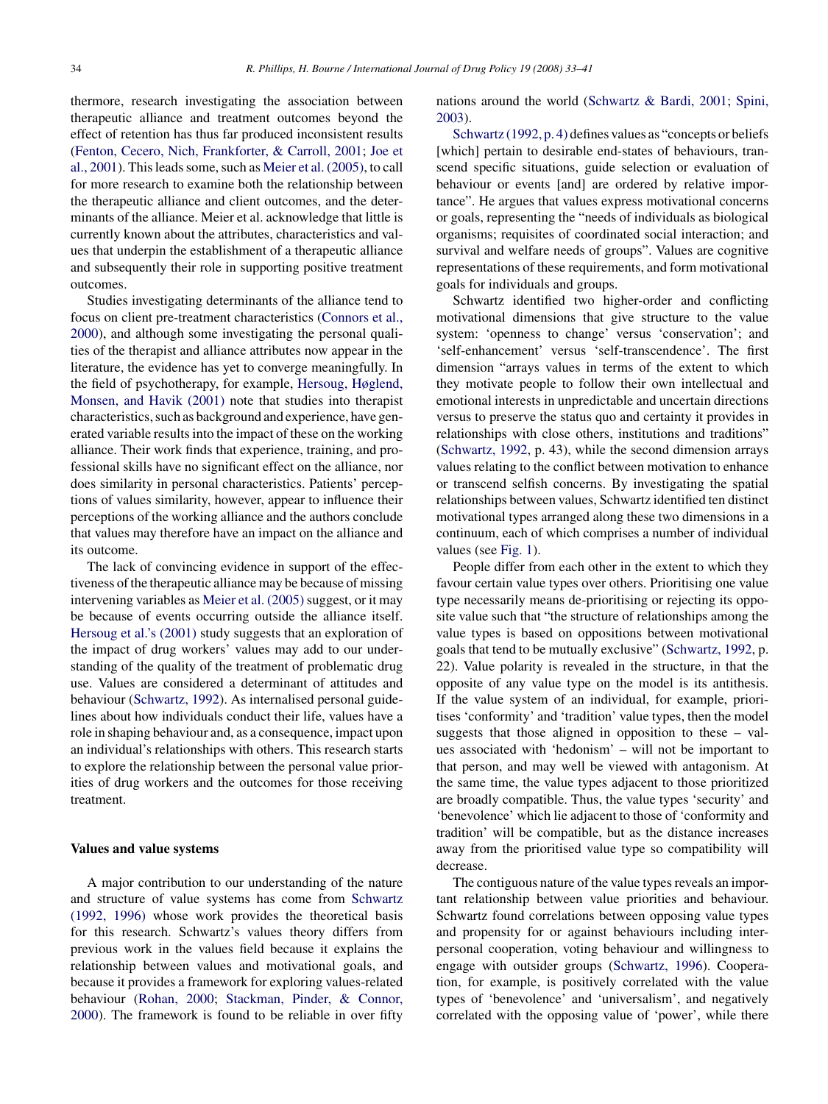thermore, research investigating the association between therapeutic alliance and treatment outcomes beyond the effect of retention has thus far produced inconsistent results [\(Fenton, Cecero, Nich, Frankforter, & Carroll, 2001;](#page-7-0) [Joe et](#page-7-0) [al., 2001\).](#page-7-0) This leads some, such as [Meier et al. \(2005\), t](#page-8-0)o call for more research to examine both the relationship between the therapeutic alliance and client outcomes, and the determinants of the alliance. Meier et al. acknowledge that little is currently known about the attributes, characteristics and values that underpin the establishment of a therapeutic alliance and subsequently their role in supporting positive treatment outcomes.

Studies investigating determinants of the alliance tend to focus on client pre-treatment characteristics [\(Connors et al.,](#page-7-0) [2000\),](#page-7-0) and although some investigating the personal qualities of the therapist and alliance attributes now appear in the literature, the evidence has yet to converge meaningfully. In the field of psychotherapy, for example, [Hersoug, Høglend,](#page-7-0) [Monsen, and Havik \(2001\)](#page-7-0) note that studies into therapist characteristics, such as background and experience, have generated variable results into the impact of these on the working alliance. Their work finds that experience, training, and professional skills have no significant effect on the alliance, nor does similarity in personal characteristics. Patients' perceptions of values similarity, however, appear to influence their perceptions of the working alliance and the authors conclude that values may therefore have an impact on the alliance and its outcome.

The lack of convincing evidence in support of the effectiveness of the therapeutic alliance may be because of missing intervening variables as Meier et al. (2005) suggest, or it may be because of events occurring outside the alliance itself. [Hersoug et al.'s \(2001\)](#page-7-0) study suggests that an exploration of the impact of drug workers' values may add to our understanding of the quality of the treatment of problematic drug use. Values are considered a determinant of attitudes and behaviour [\(Schwartz, 1992\).](#page-8-0) As internalised personal guidelines about how individuals conduct their life, values have a role in shaping behaviour and, as a consequence, impact upon an individual's relationships with others. This research starts to explore the relationship between the personal value priorities of drug workers and the outcomes for those receiving treatment.

#### **Values and value systems**

A major contribution to our understanding of the nature and structure of value systems has come from [Schwartz](#page-8-0) [\(1992, 1996\)](#page-8-0) whose work provides the theoretical basis for this research. Schwartz's values theory differs from previous work in the values field because it explains the relationship between values and motivational goals, and because it provides a framework for exploring values-related behaviour ([Rohan, 2000;](#page-8-0) [Stackman, Pinder, & Connor,](#page-8-0) [2000\).](#page-8-0) The framework is found to be reliable in over fifty

nations around the world [\(Schwartz & Bardi, 2001;](#page-8-0) [Spini,](#page-8-0) [2003\).](#page-8-0)

[Schwartz \(1992, p. 4\)](#page-8-0) defines values as "concepts or beliefs [which] pertain to desirable end-states of behaviours, transcend specific situations, guide selection or evaluation of behaviour or events [and] are ordered by relative importance". He argues that values express motivational concerns or goals, representing the "needs of individuals as biological organisms; requisites of coordinated social interaction; and survival and welfare needs of groups". Values are cognitive representations of these requirements, and form motivational goals for individuals and groups.

Schwartz identified two higher-order and conflicting motivational dimensions that give structure to the value system: 'openness to change' versus 'conservation'; and 'self-enhancement' versus 'self-transcendence'. The first dimension "arrays values in terms of the extent to which they motivate people to follow their own intellectual and emotional interests in unpredictable and uncertain directions versus to preserve the status quo and certainty it provides in relationships with close others, institutions and traditions" [\(Schwartz, 1992,](#page-8-0) p. 43), while the second dimension arrays values relating to the conflict between motivation to enhance or transcend selfish concerns. By investigating the spatial relationships between values, Schwartz identified ten distinct motivational types arranged along these two dimensions in a continuum, each of which comprises a number of individual values (see [Fig. 1\).](#page-2-0)

People differ from each other in the extent to which they favour certain value types over others. Prioritising one value type necessarily means de-prioritising or rejecting its opposite value such that "the structure of relationships among the value types is based on oppositions between motivational goals that tend to be mutually exclusive" [\(Schwartz, 1992, p](#page-8-0). 22). Value polarity is revealed in the structure, in that the opposite of any value type on the model is its antithesis. If the value system of an individual, for example, prioritises 'conformity' and 'tradition' value types, then the model suggests that those aligned in opposition to these – values associated with 'hedonism' – will not be important to that person, and may well be viewed with antagonism. At the same time, the value types adjacent to those prioritized are broadly compatible. Thus, the value types 'security' and 'benevolence' which lie adjacent to those of 'conformity and tradition' will be compatible, but as the distance increases away from the prioritised value type so compatibility will decrease.

The contiguous nature of the value types reveals an important relationship between value priorities and behaviour. Schwartz found correlations between opposing value types and propensity for or against behaviours including interpersonal cooperation, voting behaviour and willingness to engage with outsider groups [\(Schwartz, 1996\).](#page-8-0) Cooperation, for example, is positively correlated with the value types of 'benevolence' and 'universalism', and negatively correlated with the opposing value of 'power', while there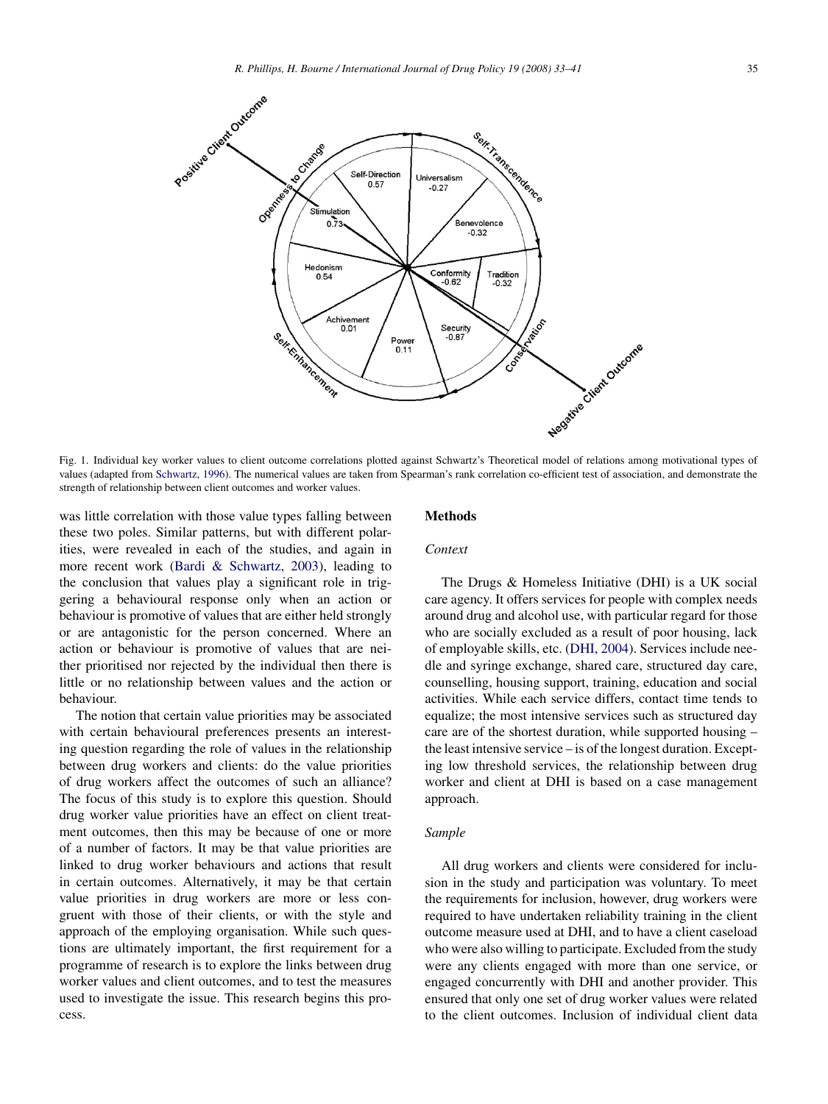<span id="page-2-0"></span>

Fig. 1. Individual key worker values to client outcome correlations plotted against Schwartz's Theoretical model of relations among motivational types of values (adapted from [Schwartz, 1996\).](#page-8-0) The numerical values are taken from Spearman's rank correlation co-efficient test of association, and demonstrate the strength of relationship between client outcomes and worker values.

was little correlation with those value types falling between these two poles. Similar patterns, but with different polarities, were revealed in each of the studies, and again in more recent work ([Bardi & Schwartz, 2003\),](#page-7-0) leading to the conclusion that values play a significant role in triggering a behavioural response only when an action or behaviour is promotive of values that are either held strongly or are antagonistic for the person concerned. Where an action or behaviour is promotive of values that are neither prioritised nor rejected by the individual then there is little or no relationship between values and the action or behaviour.

The notion that certain value priorities may be associated with certain behavioural preferences presents an interesting question regarding the role of values in the relationship between drug workers and clients: do the value priorities of drug workers affect the outcomes of such an alliance? The focus of this study is to explore this question. Should drug worker value priorities have an effect on client treatment outcomes, then this may be because of one or more of a number of factors. It may be that value priorities are linked to drug worker behaviours and actions that result in certain outcomes. Alternatively, it may be that certain value priorities in drug workers are more or less congruent with those of their clients, or with the style and approach of the employing organisation. While such questions are ultimately important, the first requirement for a programme of research is to explore the links between drug worker values and client outcomes, and to test the measures used to investigate the issue. This research begins this process.

## **Methods**

# *Context*

The Drugs & Homeless Initiative (DHI) is a UK social care agency. It offers services for people with complex needs around drug and alcohol use, with particular regard for those who are socially excluded as a result of poor housing, lack of employable skills, etc. ([DHI, 2004\).](#page-7-0) Services include needle and syringe exchange, shared care, structured day care, counselling, housing support, training, education and social activities. While each service differs, contact time tends to equalize; the most intensive services such as structured day care are of the shortest duration, while supported housing – the least intensive service – is of the longest duration. Excepting low threshold services, the relationship between drug worker and client at DHI is based on a case management approach.

# *Sample*

All drug workers and clients were considered for inclusion in the study and participation was voluntary. To meet the requirements for inclusion, however, drug workers were required to have undertaken reliability training in the client outcome measure used at DHI, and to have a client caseload who were also willing to participate. Excluded from the study were any clients engaged with more than one service, or engaged concurrently with DHI and another provider. This ensured that only one set of drug worker values were related to the client outcomes. Inclusion of individual client data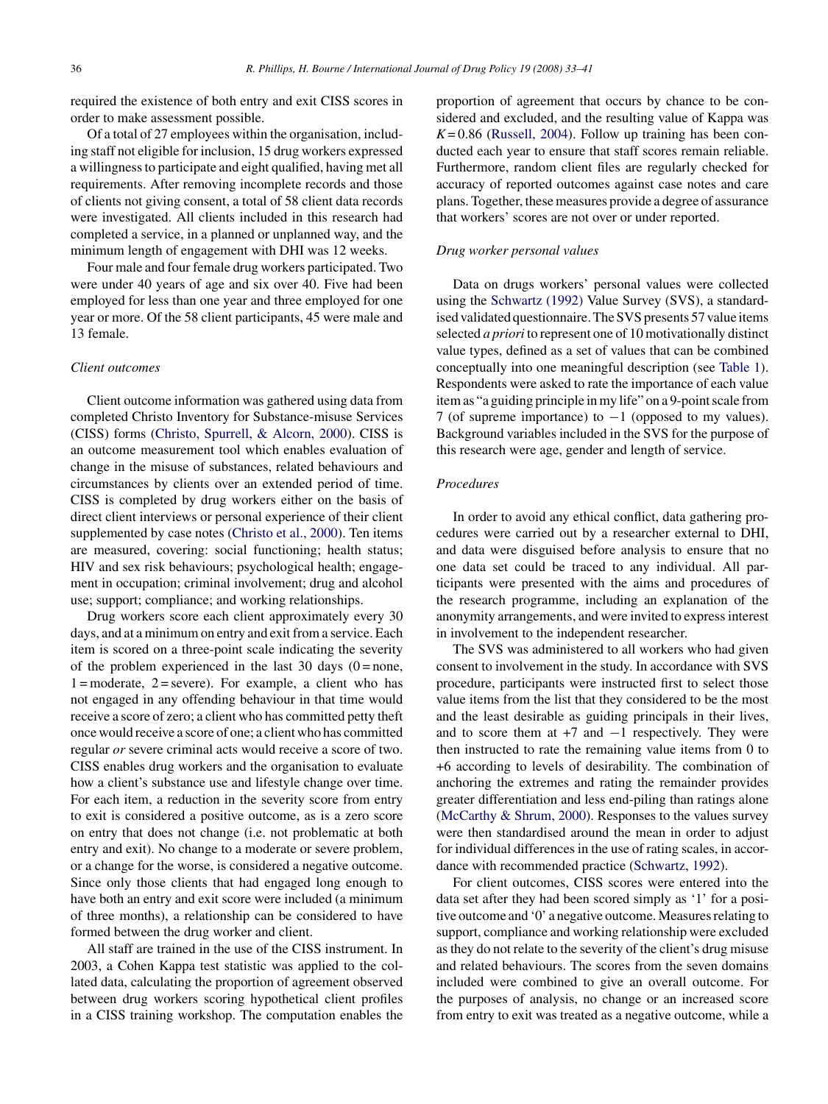required the existence of both entry and exit CISS scores in order to make assessment possible.

Of a total of 27 employees within the organisation, including staff not eligible for inclusion, 15 drug workers expressed a willingness to participate and eight qualified, having met all requirements. After removing incomplete records and those of clients not giving consent, a total of 58 client data records were investigated. All clients included in this research had completed a service, in a planned or unplanned way, and the minimum length of engagement with DHI was 12 weeks.

Four male and four female drug workers participated. Two were under 40 years of age and six over 40. Five had been employed for less than one year and three employed for one year or more. Of the 58 client participants, 45 were male and 13 female.

# *Client outcomes*

Client outcome information was gathered using data from completed Christo Inventory for Substance-misuse Services (CISS) forms ([Christo, Spurrell, & Alcorn, 2000\).](#page-7-0) CISS is an outcome measurement tool which enables evaluation of change in the misuse of substances, related behaviours and circumstances by clients over an extended period of time. CISS is completed by drug workers either on the basis of direct client interviews or personal experience of their client supplemented by case notes [\(Christo et al., 2000\).](#page-7-0) Ten items are measured, covering: social functioning; health status; HIV and sex risk behaviours; psychological health; engagement in occupation; criminal involvement; drug and alcohol use; support; compliance; and working relationships.

Drug workers score each client approximately every 30 days, and at a minimum on entry and exit from a service. Each item is scored on a three-point scale indicating the severity of the problem experienced in the last 30 days  $(0 = none,$  $1 =$ moderate,  $2 =$ severe). For example, a client who has not engaged in any offending behaviour in that time would receive a score of zero; a client who has committed petty theft once would receive a score of one; a client who has committed regular *or* severe criminal acts would receive a score of two. CISS enables drug workers and the organisation to evaluate how a client's substance use and lifestyle change over time. For each item, a reduction in the severity score from entry to exit is considered a positive outcome, as is a zero score on entry that does not change (i.e. not problematic at both entry and exit). No change to a moderate or severe problem, or a change for the worse, is considered a negative outcome. Since only those clients that had engaged long enough to have both an entry and exit score were included (a minimum of three months), a relationship can be considered to have formed between the drug worker and client.

All staff are trained in the use of the CISS instrument. In 2003, a Cohen Kappa test statistic was applied to the collated data, calculating the proportion of agreement observed between drug workers scoring hypothetical client profiles in a CISS training workshop. The computation enables the

proportion of agreement that occurs by chance to be considered and excluded, and the resulting value of Kappa was  $K = 0.86$  [\(Russell, 2004\).](#page-8-0) Follow up training has been conducted each year to ensure that staff scores remain reliable. Furthermore, random client files are regularly checked for accuracy of reported outcomes against case notes and care plans. Together, these measures provide a degree of assurance that workers' scores are not over or under reported.

# *Drug worker personal values*

Data on drugs workers' personal values were collected using the [Schwartz \(1992\)](#page-8-0) Value Survey (SVS), a standardised validated questionnaire. The SVS presents 57 value items selected *a priori* to represent one of 10 motivationally distinct value types, defined as a set of values that can be combined conceptually into one meaningful description (see [Table 1\).](#page-4-0) Respondents were asked to rate the importance of each value item as "a guiding principle in my life" on a 9-point scale from 7 (of supreme importance) to  $-1$  (opposed to my values). Background variables included in the SVS for the purpose of this research were age, gender and length of service.

# *Procedures*

In order to avoid any ethical conflict, data gathering procedures were carried out by a researcher external to DHI, and data were disguised before analysis to ensure that no one data set could be traced to any individual. All participants were presented with the aims and procedures of the research programme, including an explanation of the anonymity arrangements, and were invited to express interest in involvement to the independent researcher.

The SVS was administered to all workers who had given consent to involvement in the study. In accordance with SVS procedure, participants were instructed first to select those value items from the list that they considered to be the most and the least desirable as guiding principals in their lives, and to score them at  $+7$  and  $-1$  respectively. They were then instructed to rate the remaining value items from 0 to +6 according to levels of desirability. The combination of anchoring the extremes and rating the remainder provides greater differentiation and less end-piling than ratings alone [\(McCarthy & Shrum, 2000\).](#page-8-0) Responses to the values survey were then standardised around the mean in order to adjust for individual differences in the use of rating scales, in accordance with recommended practice ([Schwartz, 1992\).](#page-8-0)

For client outcomes, CISS scores were entered into the data set after they had been scored simply as '1' for a positive outcome and '0' a negative outcome. Measures relating to support, compliance and working relationship were excluded as they do not relate to the severity of the client's drug misuse and related behaviours. The scores from the seven domains included were combined to give an overall outcome. For the purposes of analysis, no change or an increased score from entry to exit was treated as a negative outcome, while a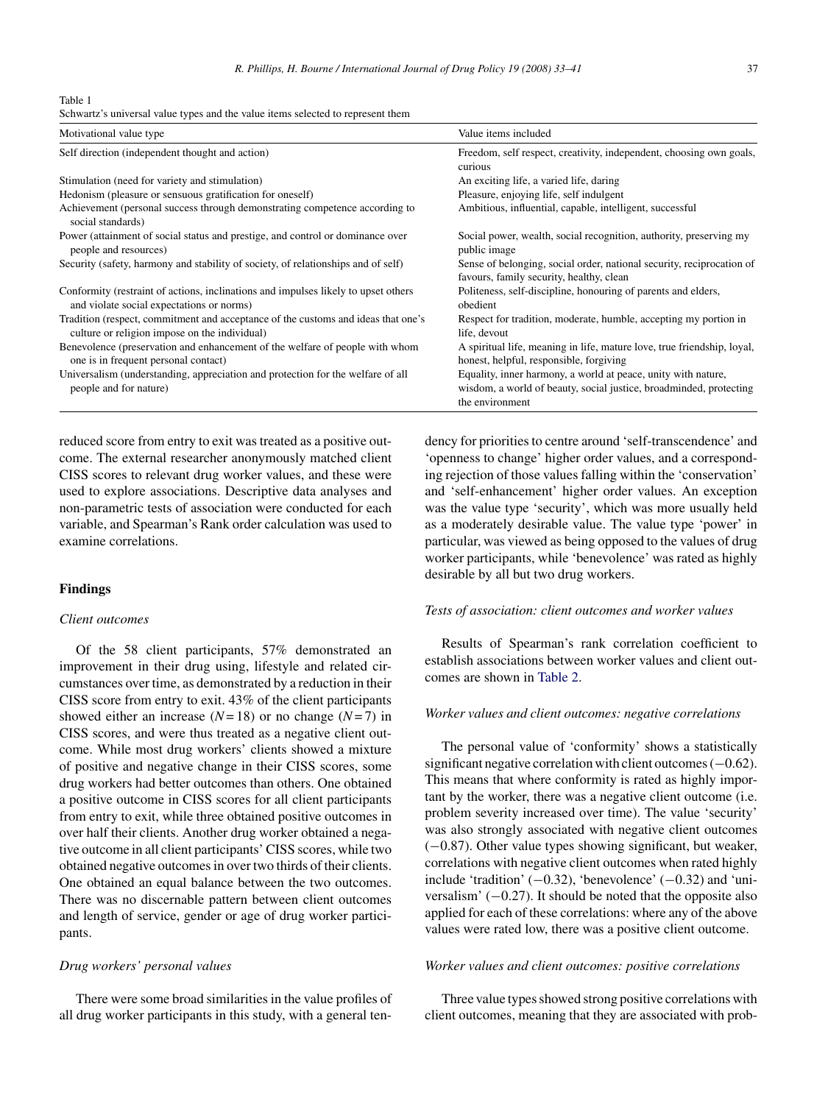<span id="page-4-0"></span>Table 1

| Schwartz's universal value types and the value items selected to represent them |
|---------------------------------------------------------------------------------|
|---------------------------------------------------------------------------------|

| Motivational value type                                                                                                            | Value items included                                                                                               |
|------------------------------------------------------------------------------------------------------------------------------------|--------------------------------------------------------------------------------------------------------------------|
| Self direction (independent thought and action)                                                                                    | Freedom, self respect, creativity, independent, choosing own goals,<br>curious                                     |
| Stimulation (need for variety and stimulation)                                                                                     | An exciting life, a varied life, daring                                                                            |
| Hedonism (pleasure or sensuous gratification for oneself)                                                                          | Pleasure, enjoying life, self indulgent                                                                            |
| Achievement (personal success through demonstrating competence according to<br>social standards)                                   | Ambitious, influential, capable, intelligent, successful                                                           |
| Power (attainment of social status and prestige, and control or dominance over<br>people and resources)                            | Social power, wealth, social recognition, authority, preserving my<br>public image                                 |
| Security (safety, harmony and stability of society, of relationships and of self)                                                  | Sense of belonging, social order, national security, reciprocation of<br>favours, family security, healthy, clean  |
| Conformity (restraint of actions, inclinations and impulses likely to upset others<br>and violate social expectations or norms)    | Politeness, self-discipline, honouring of parents and elders,<br>obedient                                          |
| Tradition (respect, commitment and acceptance of the customs and ideas that one's<br>culture or religion impose on the individual) | Respect for tradition, moderate, humble, accepting my portion in<br>life, devout                                   |
| Benevolence (preservation and enhancement of the welfare of people with whom<br>one is in frequent personal contact)               | A spiritual life, meaning in life, mature love, true friendship, loyal,<br>honest, helpful, responsible, forgiving |
| Universalism (understanding, appreciation and protection for the welfare of all                                                    | Equality, inner harmony, a world at peace, unity with nature,                                                      |
| people and for nature)                                                                                                             | wisdom, a world of beauty, social justice, broadminded, protecting                                                 |
|                                                                                                                                    | the environment                                                                                                    |

reduced score from entry to exit was treated as a positive outcome. The external researcher anonymously matched client CISS scores to relevant drug worker values, and these were used to explore associations. Descriptive data analyses and non-parametric tests of association were conducted for each variable, and Spearman's Rank order calculation was used to examine correlations.

# **Findings**

## *Client outcomes*

Of the 58 client participants, 57% demonstrated an improvement in their drug using, lifestyle and related circumstances over time, as demonstrated by a reduction in their CISS score from entry to exit. 43% of the client participants showed either an increase  $(N=18)$  or no change  $(N=7)$  in CISS scores, and were thus treated as a negative client outcome. While most drug workers' clients showed a mixture of positive and negative change in their CISS scores, some drug workers had better outcomes than others. One obtained a positive outcome in CISS scores for all client participants from entry to exit, while three obtained positive outcomes in over half their clients. Another drug worker obtained a negative outcome in all client participants' CISS scores, while two obtained negative outcomes in over two thirds of their clients. One obtained an equal balance between the two outcomes. There was no discernable pattern between client outcomes and length of service, gender or age of drug worker participants.

## *Drug workers' personal values*

There were some broad similarities in the value profiles of all drug worker participants in this study, with a general tendency for priorities to centre around 'self-transcendence' and 'openness to change' higher order values, and a corresponding rejection of those values falling within the 'conservation' and 'self-enhancement' higher order values. An exception was the value type 'security', which was more usually held as a moderately desirable value. The value type 'power' in particular, was viewed as being opposed to the values of drug worker participants, while 'benevolence' was rated as highly desirable by all but two drug workers.

# *Tests of association: client outcomes and worker values*

Results of Spearman's rank correlation coefficient to establish associations between worker values and client outcomes are shown in [Table 2.](#page-5-0)

## *Worker values and client outcomes: negative correlations*

The personal value of 'conformity' shows a statistically significant negative correlation with client outcomes (−0.62). This means that where conformity is rated as highly important by the worker, there was a negative client outcome (i.e. problem severity increased over time). The value 'security' was also strongly associated with negative client outcomes (−0.87). Other value types showing significant, but weaker, correlations with negative client outcomes when rated highly include 'tradition'  $(-0.32)$ , 'benevolence'  $(-0.32)$  and 'universalism' (−0.27). It should be noted that the opposite also applied for each of these correlations: where any of the above values were rated low, there was a positive client outcome.

#### *Worker values and client outcomes: positive correlations*

Three value types showed strong positive correlations with client outcomes, meaning that they are associated with prob-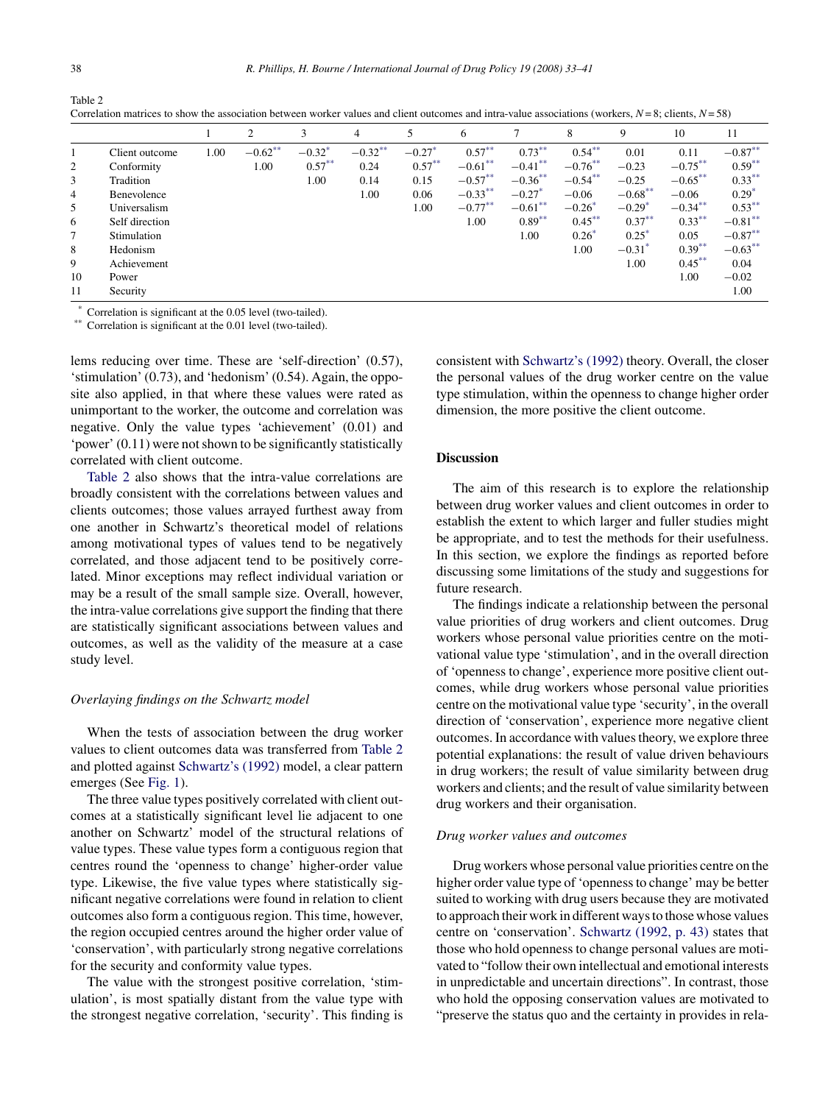<span id="page-5-0"></span>Table 2 Correlation matrices to show the association between worker values and client outcomes and intra-value associations (workers,  $N=8$ ; clients,  $N=58$ )

|                |                |      | 2          | 3                    | 4          | 5         | 6          |                      | 8          | 9          | 10         | 11         |
|----------------|----------------|------|------------|----------------------|------------|-----------|------------|----------------------|------------|------------|------------|------------|
|                | Client outcome | 1.00 | $-0.62$ ** | $-0.32$ <sup>*</sup> | $-0.32***$ | $-0.27*$  | $0.57***$  | $0.73***$            | $0.54***$  | 0.01       | 0.11       | $-0.87**$  |
| 2              | Conformity     |      | 1.00       | $0.57***$            | 0.24       | $0.57***$ | $-0.61***$ | $-0.41***$           | $-0.76***$ | $-0.23$    | $-0.75***$ | $0.59***$  |
| 3              | Tradition      |      |            | 1.00                 | 0.14       | 0.15      | $-0.57***$ | $-0.36***$           | $-0.54***$ | $-0.25$    | $-0.65***$ | $0.33***$  |
| $\overline{4}$ | Benevolence    |      |            |                      | 1.00       | 0.06      | $-0.33***$ | $-0.27$ <sup>*</sup> | $-0.06$    | $-0.68$ ** | $-0.06$    | $0.29*$    |
| 5              | Universalism   |      |            |                      |            | 1.00      | $-0.77***$ | $-0.61***$           | $-0.26*$   | $-0.29*$   | $-0.34**$  | $0.53***$  |
| 6              | Self direction |      |            |                      |            |           | 1.00       | $0.89***$            | $0.45***$  | $0.37***$  | $0.33***$  | $-0.81***$ |
| 7              | Stimulation    |      |            |                      |            |           |            | 1.00                 | $0.26*$    | $0.25^*$   | 0.05       | $-0.87***$ |
| 8              | Hedonism       |      |            |                      |            |           |            |                      | 1.00       | $-0.31^*$  | $0.39***$  | $-0.63***$ |
| 9              | Achievement    |      |            |                      |            |           |            |                      |            | 1.00       | $0.45***$  | 0.04       |
| 10             | Power          |      |            |                      |            |           |            |                      |            |            | 1.00       | $-0.02$    |
| 11             | Security       |      |            |                      |            |           |            |                      |            |            |            | 1.00       |

\* Correlation is significant at the 0.05 level (two-tailed).

\*\* Correlation is significant at the 0.01 level (two-tailed).

lems reducing over time. These are 'self-direction' (0.57), 'stimulation' (0.73), and 'hedonism' (0.54). Again, the opposite also applied, in that where these values were rated as unimportant to the worker, the outcome and correlation was negative. Only the value types 'achievement' (0.01) and 'power' (0.11) were not shown to be significantly statistically correlated with client outcome.

Table 2 also shows that the intra-value correlations are broadly consistent with the correlations between values and clients outcomes; those values arrayed furthest away from one another in Schwartz's theoretical model of relations among motivational types of values tend to be negatively correlated, and those adjacent tend to be positively correlated. Minor exceptions may reflect individual variation or may be a result of the small sample size. Overall, however, the intra-value correlations give support the finding that there are statistically significant associations between values and outcomes, as well as the validity of the measure at a case study level.

#### *Overlaying findings on the Schwartz model*

When the tests of association between the drug worker values to client outcomes data was transferred from Table 2 and plotted against [Schwartz's \(1992\)](#page-8-0) model, a clear pattern emerges (See [Fig. 1\).](#page-2-0)

The three value types positively correlated with client outcomes at a statistically significant level lie adjacent to one another on Schwartz' model of the structural relations of value types. These value types form a contiguous region that centres round the 'openness to change' higher-order value type. Likewise, the five value types where statistically significant negative correlations were found in relation to client outcomes also form a contiguous region. This time, however, the region occupied centres around the higher order value of 'conservation', with particularly strong negative correlations for the security and conformity value types.

The value with the strongest positive correlation, 'stimulation', is most spatially distant from the value type with the strongest negative correlation, 'security'. This finding is consistent with [Schwartz's \(1992\)](#page-8-0) theory. Overall, the closer the personal values of the drug worker centre on the value type stimulation, within the openness to change higher order dimension, the more positive the client outcome.

#### **Discussion**

The aim of this research is to explore the relationship between drug worker values and client outcomes in order to establish the extent to which larger and fuller studies might be appropriate, and to test the methods for their usefulness. In this section, we explore the findings as reported before discussing some limitations of the study and suggestions for future research.

The findings indicate a relationship between the personal value priorities of drug workers and client outcomes. Drug workers whose personal value priorities centre on the motivational value type 'stimulation', and in the overall direction of 'openness to change', experience more positive client outcomes, while drug workers whose personal value priorities centre on the motivational value type 'security', in the overall direction of 'conservation', experience more negative client outcomes. In accordance with values theory, we explore three potential explanations: the result of value driven behaviours in drug workers; the result of value similarity between drug workers and clients; and the result of value similarity between drug workers and their organisation.

# *Drug worker values and outcomes*

Drug workers whose personal value priorities centre on the higher order value type of 'openness to change' may be better suited to working with drug users because they are motivated to approach their work in different ways to those whose values centre on 'conservation'. [Schwartz \(1992, p. 43\)](#page-8-0) states that those who hold openness to change personal values are motivated to "follow their own intellectual and emotional interests in unpredictable and uncertain directions". In contrast, those who hold the opposing conservation values are motivated to "preserve the status quo and the certainty in provides in rela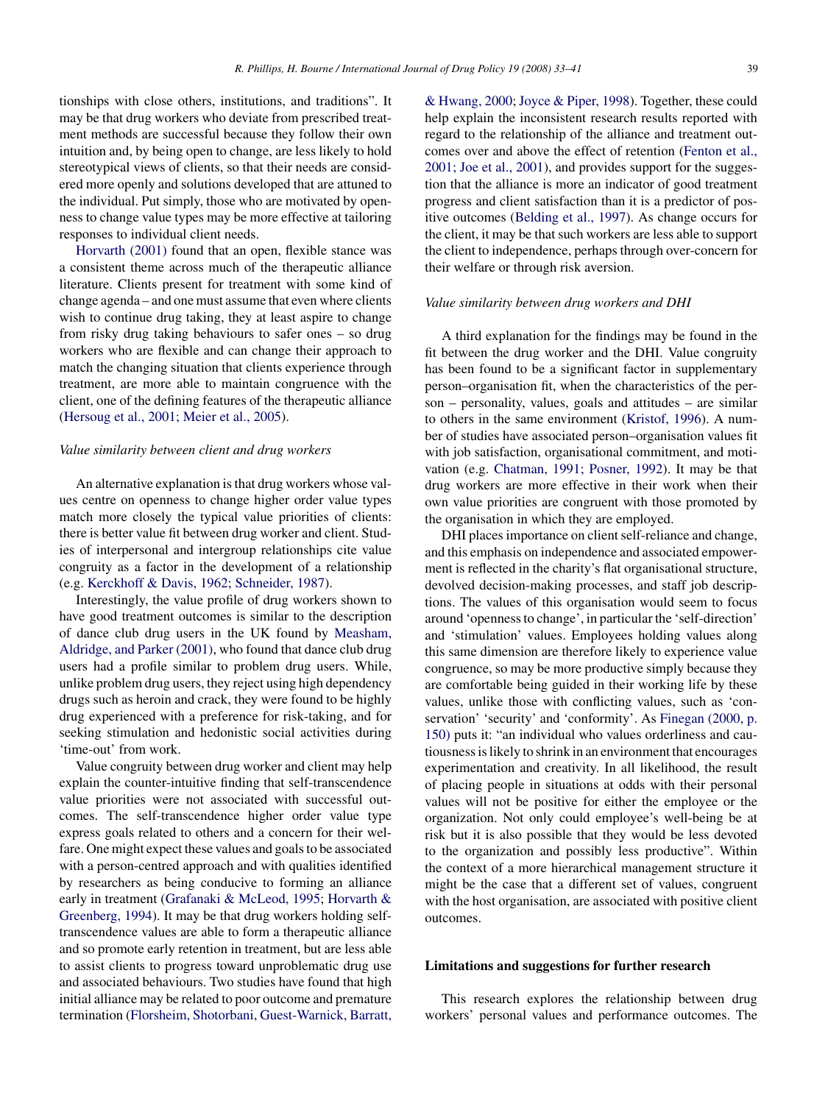tionships with close others, institutions, and traditions". It may be that drug workers who deviate from prescribed treatment methods are successful because they follow their own intuition and, by being open to change, are less likely to hold stereotypical views of clients, so that their needs are considered more openly and solutions developed that are attuned to the individual. Put simply, those who are motivated by openness to change value types may be more effective at tailoring responses to individual client needs.

[Horvarth \(2001\)](#page-7-0) found that an open, flexible stance was a consistent theme across much of the therapeutic alliance literature. Clients present for treatment with some kind of change agenda – and one must assume that even where clients wish to continue drug taking, they at least aspire to change from risky drug taking behaviours to safer ones – so drug workers who are flexible and can change their approach to match the changing situation that clients experience through treatment, are more able to maintain congruence with the client, one of the defining features of the therapeutic alliance ([Hersoug et al., 2001; Meier et al., 2005\).](#page-7-0)

#### *Value similarity between client and drug workers*

An alternative explanation is that drug workers whose values centre on openness to change higher order value types match more closely the typical value priorities of clients: there is better value fit between drug worker and client. Studies of interpersonal and intergroup relationships cite value congruity as a factor in the development of a relationship (e.g. [Kerckhoff & Davis, 1962;](#page-8-0) [Schneider, 1987\).](#page-8-0)

Interestingly, the value profile of drug workers shown to have good treatment outcomes is similar to the description of dance club drug users in the UK found by [Measham,](#page-8-0) [Aldridge, and Parker \(2001\), w](#page-8-0)ho found that dance club drug users had a profile similar to problem drug users. While, unlike problem drug users, they reject using high dependency drugs such as heroin and crack, they were found to be highly drug experienced with a preference for risk-taking, and for seeking stimulation and hedonistic social activities during 'time-out' from work.

Value congruity between drug worker and client may help explain the counter-intuitive finding that self-transcendence value priorities were not associated with successful outcomes. The self-transcendence higher order value type express goals related to others and a concern for their welfare. One might expect these values and goals to be associated with a person-centred approach and with qualities identified by researchers as being conducive to forming an alliance early in treatment ([Grafanaki & McLeod, 1995;](#page-7-0) [Horvarth &](#page-7-0) [Greenberg, 1994\).](#page-7-0) It may be that drug workers holding selftranscendence values are able to form a therapeutic alliance and so promote early retention in treatment, but are less able to assist clients to progress toward unproblematic drug use and associated behaviours. Two studies have found that high initial alliance may be related to poor outcome and premature termination ([Florsheim, Shotorbani, Guest-Warnick, Barratt,](#page-7-0)

[& Hwang, 2000;](#page-7-0) [Joyce & Piper, 1998\).](#page-7-0) Together, these could help explain the inconsistent research results reported with regard to the relationship of the alliance and treatment outcomes over and above the effect of retention ([Fenton et al.,](#page-7-0) [2001; Joe et al., 2001\),](#page-7-0) and provides support for the suggestion that the alliance is more an indicator of good treatment progress and client satisfaction than it is a predictor of positive outcomes [\(Belding et al., 1997\).](#page-7-0) As change occurs for the client, it may be that such workers are less able to support the client to independence, perhaps through over-concern for their welfare or through risk aversion.

#### *Value similarity between drug workers and DHI*

A third explanation for the findings may be found in the fit between the drug worker and the DHI. Value congruity has been found to be a significant factor in supplementary person–organisation fit, when the characteristics of the person – personality, values, goals and attitudes – are similar to others in the same environment ([Kristof, 1996\).](#page-8-0) A number of studies have associated person–organisation values fit with job satisfaction, organisational commitment, and motivation (e.g. [Chatman, 1991; Posner, 1992\).](#page-7-0) It may be that drug workers are more effective in their work when their own value priorities are congruent with those promoted by the organisation in which they are employed.

DHI places importance on client self-reliance and change, and this emphasis on independence and associated empowerment is reflected in the charity's flat organisational structure, devolved decision-making processes, and staff job descriptions. The values of this organisation would seem to focus around 'openness to change', in particular the 'self-direction' and 'stimulation' values. Employees holding values along this same dimension are therefore likely to experience value congruence, so may be more productive simply because they are comfortable being guided in their working life by these values, unlike those with conflicting values, such as 'con-servation' 'security' and 'conformity'. As [Finegan \(2000, p.](#page-7-0) [150\)](#page-7-0) puts it: "an individual who values orderliness and cautiousness is likely to shrink in an environment that encourages experimentation and creativity. In all likelihood, the result of placing people in situations at odds with their personal values will not be positive for either the employee or the organization. Not only could employee's well-being be at risk but it is also possible that they would be less devoted to the organization and possibly less productive". Within the context of a more hierarchical management structure it might be the case that a different set of values, congruent with the host organisation, are associated with positive client outcomes.

#### **Limitations and suggestions for further research**

This research explores the relationship between drug workers' personal values and performance outcomes. The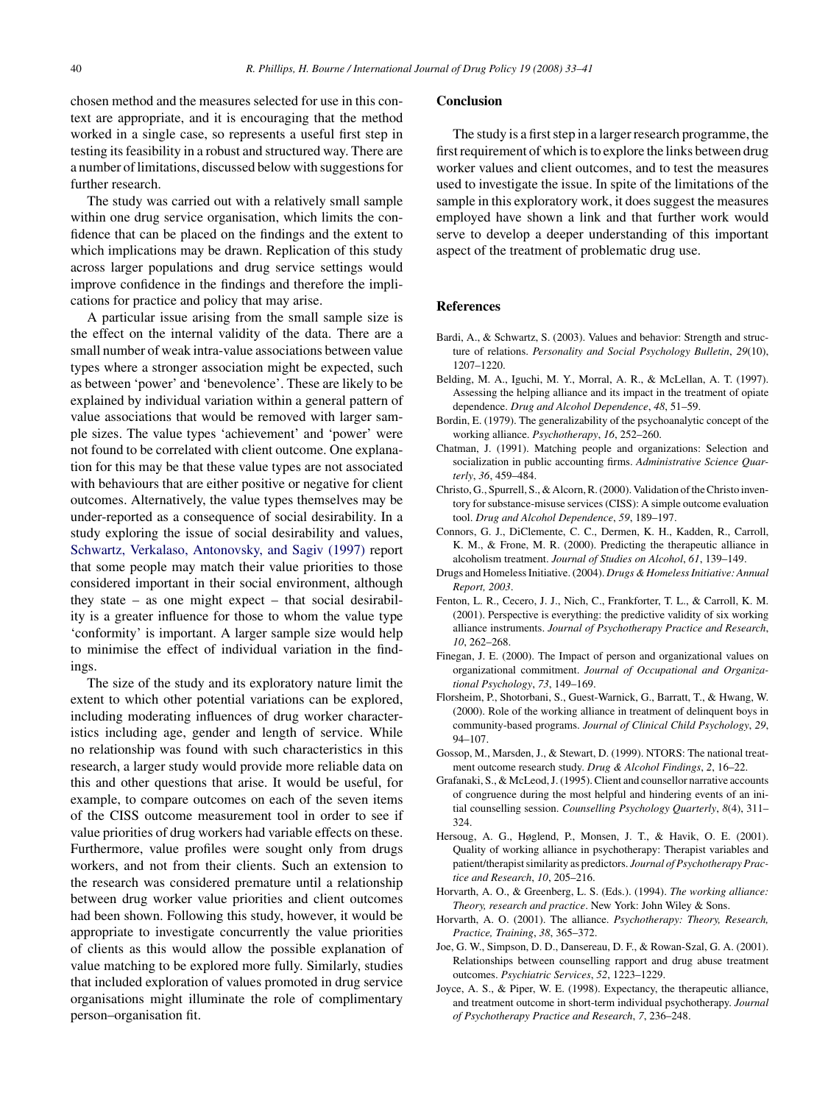<span id="page-7-0"></span>chosen method and the measures selected for use in this context are appropriate, and it is encouraging that the method worked in a single case, so represents a useful first step in testing its feasibility in a robust and structured way. There are a number of limitations, discussed below with suggestions for further research.

The study was carried out with a relatively small sample within one drug service organisation, which limits the confidence that can be placed on the findings and the extent to which implications may be drawn. Replication of this study across larger populations and drug service settings would improve confidence in the findings and therefore the implications for practice and policy that may arise.

A particular issue arising from the small sample size is the effect on the internal validity of the data. There are a small number of weak intra-value associations between value types where a stronger association might be expected, such as between 'power' and 'benevolence'. These are likely to be explained by individual variation within a general pattern of value associations that would be removed with larger sample sizes. The value types 'achievement' and 'power' were not found to be correlated with client outcome. One explanation for this may be that these value types are not associated with behaviours that are either positive or negative for client outcomes. Alternatively, the value types themselves may be under-reported as a consequence of social desirability. In a study exploring the issue of social desirability and values, [Schwartz, Verkalaso, Antonovsky, and Sagiv \(1997\)](#page-8-0) report that some people may match their value priorities to those considered important in their social environment, although they state – as one might expect – that social desirability is a greater influence for those to whom the value type 'conformity' is important. A larger sample size would help to minimise the effect of individual variation in the findings.

The size of the study and its exploratory nature limit the extent to which other potential variations can be explored, including moderating influences of drug worker characteristics including age, gender and length of service. While no relationship was found with such characteristics in this research, a larger study would provide more reliable data on this and other questions that arise. It would be useful, for example, to compare outcomes on each of the seven items of the CISS outcome measurement tool in order to see if value priorities of drug workers had variable effects on these. Furthermore, value profiles were sought only from drugs workers, and not from their clients. Such an extension to the research was considered premature until a relationship between drug worker value priorities and client outcomes had been shown. Following this study, however, it would be appropriate to investigate concurrently the value priorities of clients as this would allow the possible explanation of value matching to be explored more fully. Similarly, studies that included exploration of values promoted in drug service organisations might illuminate the role of complimentary person–organisation fit.

#### **Conclusion**

The study is a first step in a larger research programme, the first requirement of which is to explore the links between drug worker values and client outcomes, and to test the measures used to investigate the issue. In spite of the limitations of the sample in this exploratory work, it does suggest the measures employed have shown a link and that further work would serve to develop a deeper understanding of this important aspect of the treatment of problematic drug use.

# **References**

- Bardi, A., & Schwartz, S. (2003). Values and behavior: Strength and structure of relations. *Personality and Social Psychology Bulletin*, *29*(10), 1207–1220.
- Belding, M. A., Iguchi, M. Y., Morral, A. R., & McLellan, A. T. (1997). Assessing the helping alliance and its impact in the treatment of opiate dependence. *Drug and Alcohol Dependence*, *48*, 51–59.
- Bordin, E. (1979). The generalizability of the psychoanalytic concept of the working alliance. *Psychotherapy*, *16*, 252–260.
- Chatman, J. (1991). Matching people and organizations: Selection and socialization in public accounting firms. *Administrative Science Quarterly*, *36*, 459–484.
- Christo, G., Spurrell, S., & Alcorn, R. (2000). Validation of the Christo inventory for substance-misuse services (CISS): A simple outcome evaluation tool. *Drug and Alcohol Dependence*, *59*, 189–197.
- Connors, G. J., DiClemente, C. C., Dermen, K. H., Kadden, R., Carroll, K. M., & Frone, M. R. (2000). Predicting the therapeutic alliance in alcoholism treatment. *Journal of Studies on Alcohol*, *61*, 139–149.
- Drugs and Homeless Initiative. (2004). *Drugs & Homeless Initiative: Annual Report, 2003*.
- Fenton, L. R., Cecero, J. J., Nich, C., Frankforter, T. L., & Carroll, K. M. (2001). Perspective is everything: the predictive validity of six working alliance instruments. *Journal of Psychotherapy Practice and Research*, *10*, 262–268.
- Finegan, J. E. (2000). The Impact of person and organizational values on organizational commitment. *Journal of Occupational and Organizational Psychology*, *73*, 149–169.
- Florsheim, P., Shotorbani, S., Guest-Warnick, G., Barratt, T., & Hwang, W. (2000). Role of the working alliance in treatment of delinquent boys in community-based programs. *Journal of Clinical Child Psychology*, *29*, 94–107.
- Gossop, M., Marsden, J., & Stewart, D. (1999). NTORS: The national treatment outcome research study. *Drug & Alcohol Findings*, *2*, 16–22.
- Grafanaki, S., & McLeod, J. (1995). Client and counsellor narrative accounts of congruence during the most helpful and hindering events of an initial counselling session. *Counselling Psychology Quarterly*, *8*(4), 311– 324.
- Hersoug, A. G., Høglend, P., Monsen, J. T., & Havik, O. E. (2001). Quality of working alliance in psychotherapy: Therapist variables and patient/therapist similarity as predictors. *Journal of Psychotherapy Practice and Research*, *10*, 205–216.
- Horvarth, A. O., & Greenberg, L. S. (Eds.). (1994). *The working alliance: Theory, research and practice*. New York: John Wiley & Sons.
- Horvarth, A. O. (2001). The alliance. *Psychotherapy: Theory, Research, Practice, Training*, *38*, 365–372.
- Joe, G. W., Simpson, D. D., Dansereau, D. F., & Rowan-Szal, G. A. (2001). Relationships between counselling rapport and drug abuse treatment outcomes. *Psychiatric Services*, *52*, 1223–1229.
- Joyce, A. S., & Piper, W. E. (1998). Expectancy, the therapeutic alliance, and treatment outcome in short-term individual psychotherapy. *Journal of Psychotherapy Practice and Research*, *7*, 236–248.